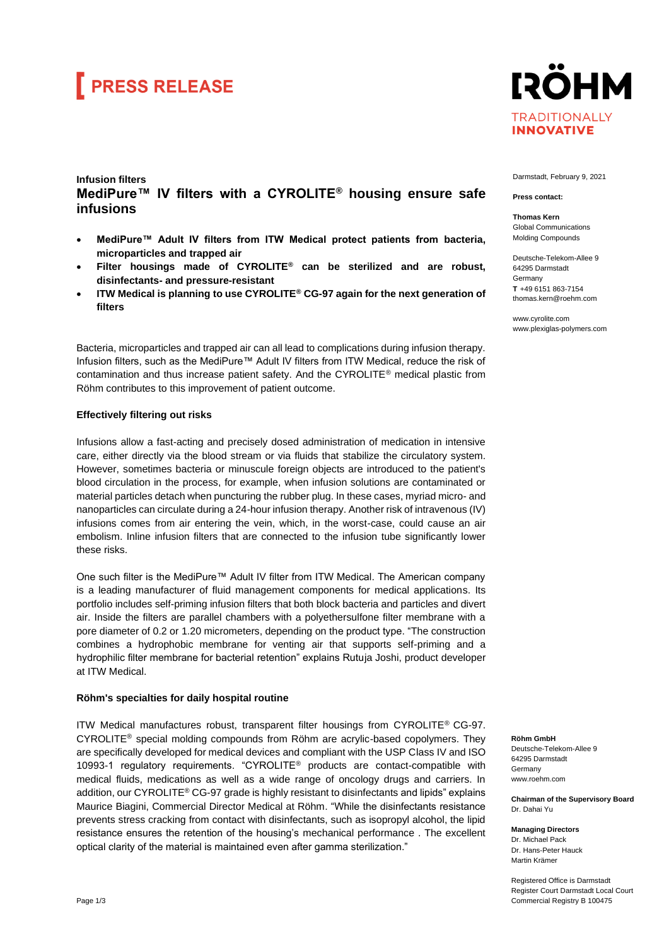# **FRESS RELEASE**



### **Infusion filters MediPure™ IV filters with a CYROLITE® housing ensure safe infusions**

- **MediPure™ Adult IV filters from ITW Medical protect patients from bacteria, microparticles and trapped air**
- **Filter housings made of CYROLITE® can be sterilized and are robust, disinfectants- and pressure-resistant**
- **ITW Medical is planning to use CYROLITE® CG-97 again for the next generation of filters**

Bacteria, microparticles and trapped air can all lead to complications during infusion therapy. Infusion filters, such as the MediPure™ Adult IV filters from ITW Medical, reduce the risk of contamination and thus increase patient safety. And the CYROLITE® medical plastic from Röhm contributes to this improvement of patient outcome.

### **Effectively filtering out risks**

Infusions allow a fast-acting and precisely dosed administration of medication in intensive care, either directly via the blood stream or via fluids that stabilize the circulatory system. However, sometimes bacteria or minuscule foreign objects are introduced to the patient's blood circulation in the process, for example, when infusion solutions are contaminated or material particles detach when puncturing the rubber plug. In these cases, myriad micro- and nanoparticles can circulate during a 24-hour infusion therapy. Another risk of intravenous (IV) infusions comes from air entering the vein, which, in the worst-case, could cause an air embolism. Inline infusion filters that are connected to the infusion tube significantly lower these risks.

One such filter is the MediPure™ Adult IV filter from ITW Medical. The American company is a leading manufacturer of fluid management components for medical applications. Its portfolio includes self-priming infusion filters that both block bacteria and particles and divert air. Inside the filters are parallel chambers with a polyethersulfone filter membrane with a pore diameter of 0.2 or 1.20 micrometers, depending on the product type. "The construction combines a hydrophobic membrane for venting air that supports self-priming and a hydrophilic filter membrane for bacterial retention" explains Rutuja Joshi, product developer at ITW Medical.

#### **Röhm's specialties for daily hospital routine**

ITW Medical manufactures robust, transparent filter housings from CYROLITE® CG-97. CYROLITE® special molding compounds from Röhm are acrylic-based copolymers. They are specifically developed for medical devices and compliant with the USP Class IV and ISO 10993-1 regulatory requirements. "CYROLITE® products are contact-compatible with medical fluids, medications as well as a wide range of oncology drugs and carriers. In addition, our CYROLITE® CG-97 grade is highly resistant to disinfectants and lipids" explains Maurice Biagini, Commercial Director Medical at Röhm. "While the disinfectants resistance prevents stress cracking from contact with disinfectants, such as isopropyl alcohol, the lipid resistance ensures the retention of the housing's mechanical performance . The excellent optical clarity of the material is maintained even after gamma sterilization."

Darmstadt, February 9, 2021

**Press contact:**

**Thomas Kern** Global Communications Molding Compounds

Deutsche-Telekom-Allee 9 64295 Darmstadt Germany **T** +49 6151 863-7154 [thomas.kern@roehm.com](mailto:thomas.kern@roehm.com)

www.cyrolite.com www.plexiglas-polymers.com

**Röhm GmbH**

Deutsche-Telekom-Allee 9 64295 Darmstadt **Germany** www.roehm.com

**Chairman of the Supervisory Board** Dr. Dahai Yu

**Managing Directors** Dr. Michael Pack Dr. Hans-Peter Hauck Martin Krämer

Registered Office is Darmstadt Register Court Darmstadt Local Court Commercial Registry B 100475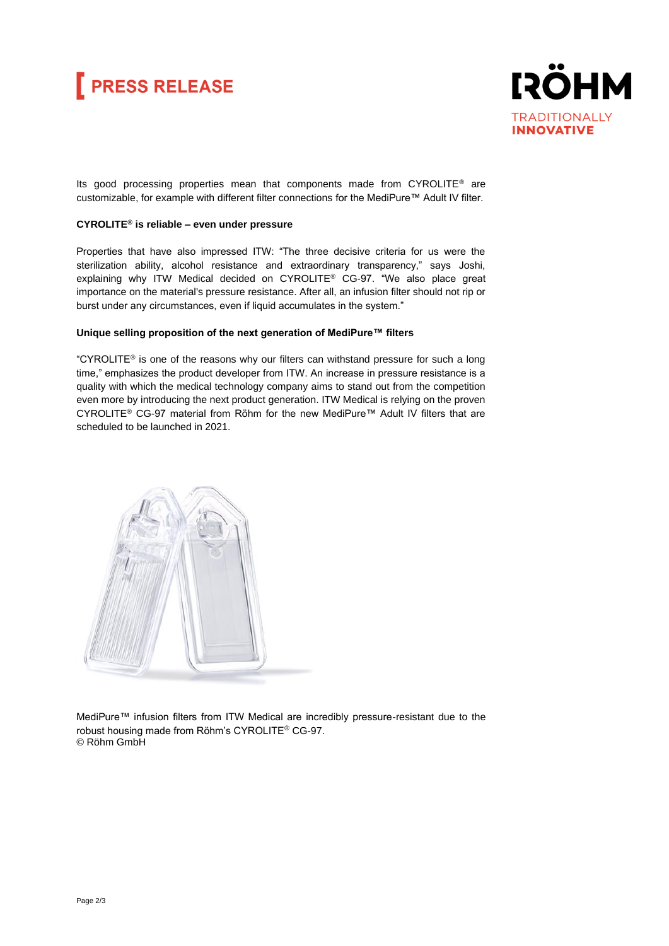# **FRESS RELEASE**



Its good processing properties mean that components made from CYROLITE® are customizable, for example with different filter connections for the MediPure™ Adult IV filter.

### **CYROLITE® is reliable – even under pressure**

Properties that have also impressed ITW: "The three decisive criteria for us were the sterilization ability, alcohol resistance and extraordinary transparency," says Joshi, explaining why ITW Medical decided on CYROLITE® CG-97. "We also place great importance on the material's pressure resistance. After all, an infusion filter should not rip or burst under any circumstances, even if liquid accumulates in the system."

#### **Unique selling proposition of the next generation of MediPure™ filters**

"CYROLITE<sup>®</sup> is one of the reasons why our filters can withstand pressure for such a long time," emphasizes the product developer from ITW. An increase in pressure resistance is a quality with which the medical technology company aims to stand out from the competition even more by introducing the next product generation. ITW Medical is relying on the proven CYROLITE® CG-97 material from Röhm for the new MediPure™ Adult IV filters that are scheduled to be launched in 2021.



MediPure™ infusion filters from ITW Medical are incredibly pressure-resistant due to the robust housing made from Röhm's CYROLITE® CG-97. © Röhm GmbH